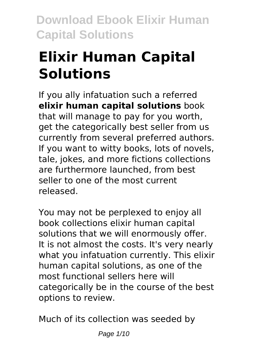# **Elixir Human Capital Solutions**

If you ally infatuation such a referred **elixir human capital solutions** book that will manage to pay for you worth, get the categorically best seller from us currently from several preferred authors. If you want to witty books, lots of novels, tale, jokes, and more fictions collections are furthermore launched, from best seller to one of the most current released.

You may not be perplexed to enjoy all book collections elixir human capital solutions that we will enormously offer. It is not almost the costs. It's very nearly what you infatuation currently. This elixir human capital solutions, as one of the most functional sellers here will categorically be in the course of the best options to review.

Much of its collection was seeded by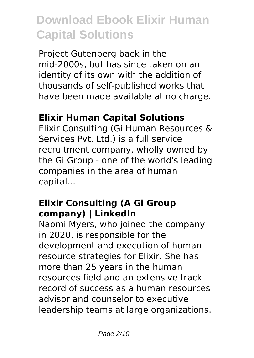Project Gutenberg back in the mid-2000s, but has since taken on an identity of its own with the addition of thousands of self-published works that have been made available at no charge.

### **Elixir Human Capital Solutions**

Elixir Consulting (Gi Human Resources & Services Pvt. Ltd.) is a full service recruitment company, wholly owned by the Gi Group - one of the world's leading companies in the area of human capital...

### **Elixir Consulting (A Gi Group company) | LinkedIn**

Naomi Myers, who joined the company in 2020, is responsible for the development and execution of human resource strategies for Elixir. She has more than 25 years in the human resources field and an extensive track record of success as a human resources advisor and counselor to executive leadership teams at large organizations.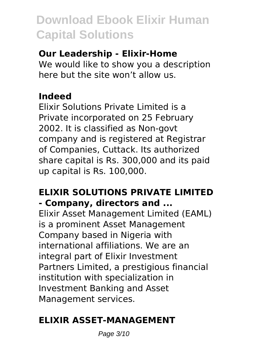### **Our Leadership - Elixir-Home**

We would like to show you a description here but the site won't allow us.

### **Indeed**

Elixir Solutions Private Limited is a Private incorporated on 25 February 2002. It is classified as Non-govt company and is registered at Registrar of Companies, Cuttack. Its authorized share capital is Rs. 300,000 and its paid up capital is Rs. 100,000.

### **ELIXIR SOLUTIONS PRIVATE LIMITED - Company, directors and ...**

Elixir Asset Management Limited (EAML) is a prominent Asset Management Company based in Nigeria with international affiliations. We are an integral part of Elixir Investment Partners Limited, a prestigious financial institution with specialization in Investment Banking and Asset Management services.

### **ELIXIR ASSET-MANAGEMENT**

Page 3/10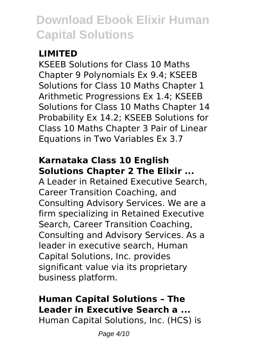### **LIMITED**

KSEEB Solutions for Class 10 Maths Chapter 9 Polynomials Ex 9.4; KSEEB Solutions for Class 10 Maths Chapter 1 Arithmetic Progressions Ex 1.4; KSEEB Solutions for Class 10 Maths Chapter 14 Probability Ex 14.2; KSEEB Solutions for Class 10 Maths Chapter 3 Pair of Linear Equations in Two Variables Ex 3.7

### **Karnataka Class 10 English Solutions Chapter 2 The Elixir ...**

A Leader in Retained Executive Search, Career Transition Coaching, and Consulting Advisory Services. We are a firm specializing in Retained Executive Search, Career Transition Coaching, Consulting and Advisory Services. As a leader in executive search, Human Capital Solutions, Inc. provides significant value via its proprietary business platform.

### **Human Capital Solutions – The Leader in Executive Search a ...**

Human Capital Solutions, Inc. (HCS) is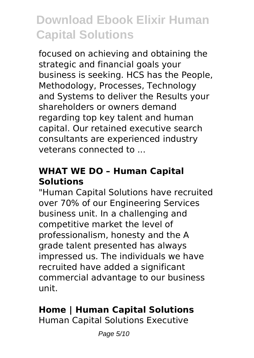focused on achieving and obtaining the strategic and financial goals your business is seeking. HCS has the People, Methodology, Processes, Technology and Systems to deliver the Results your shareholders or owners demand regarding top key talent and human capital. Our retained executive search consultants are experienced industry veterans connected to ...

### **WHAT WE DO – Human Capital Solutions**

"Human Capital Solutions have recruited over 70% of our Engineering Services business unit. In a challenging and competitive market the level of professionalism, honesty and the A grade talent presented has always impressed us. The individuals we have recruited have added a significant commercial advantage to our business unit.

### **Home | Human Capital Solutions**

Human Capital Solutions Executive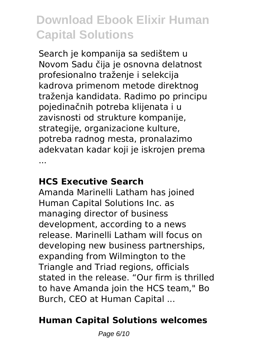Search je kompanija sa sedištem u Novom Sadu čija je osnovna delatnost profesionalno traženje i selekcija kadrova primenom metode direktnog traženja kandidata. Radimo po principu pojedinačnih potreba klijenata i u zavisnosti od strukture kompanije, strategije, organizacione kulture, potreba radnog mesta, pronalazimo adekvatan kadar koji je iskrojen prema ...

#### **HCS Executive Search**

Amanda Marinelli Latham has joined Human Capital Solutions Inc. as managing director of business development, according to a news release. Marinelli Latham will focus on developing new business partnerships, expanding from Wilmington to the Triangle and Triad regions, officials stated in the release. "Our firm is thrilled to have Amanda join the HCS team," Bo Burch, CEO at Human Capital ...

### **Human Capital Solutions welcomes**

Page 6/10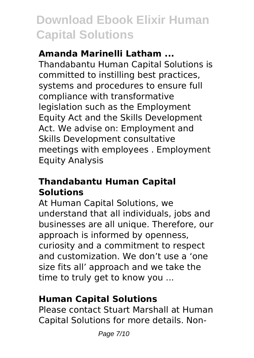#### **Amanda Marinelli Latham ...**

Thandabantu Human Capital Solutions is committed to instilling best practices, systems and procedures to ensure full compliance with transformative legislation such as the Employment Equity Act and the Skills Development Act. We advise on: Employment and Skills Development consultative meetings with employees . Employment Equity Analysis

### **Thandabantu Human Capital Solutions**

At Human Capital Solutions, we understand that all individuals, jobs and businesses are all unique. Therefore, our approach is informed by openness, curiosity and a commitment to respect and customization. We don't use a 'one size fits all' approach and we take the time to truly get to know you ...

### **Human Capital Solutions**

Please contact Stuart Marshall at Human Capital Solutions for more details. Non-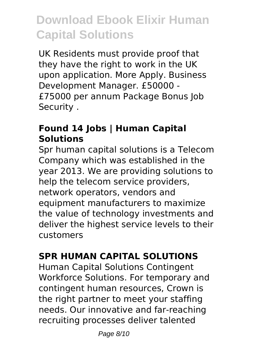UK Residents must provide proof that they have the right to work in the UK upon application. More Apply. Business Development Manager. £50000 - £75000 per annum Package Bonus Job Security .

### **Found 14 Jobs | Human Capital Solutions**

Spr human capital solutions is a Telecom Company which was established in the year 2013. We are providing solutions to help the telecom service providers, network operators, vendors and equipment manufacturers to maximize the value of technology investments and deliver the highest service levels to their customers

### **SPR HUMAN CAPITAL SOLUTIONS**

Human Capital Solutions Contingent Workforce Solutions. For temporary and contingent human resources, Crown is the right partner to meet your staffing needs. Our innovative and far-reaching recruiting processes deliver talented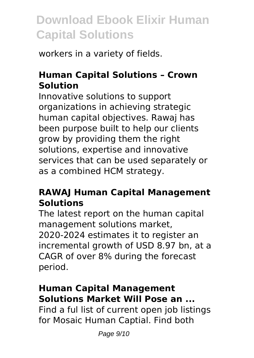workers in a variety of fields.

### **Human Capital Solutions – Crown Solution**

Innovative solutions to support organizations in achieving strategic human capital objectives. Rawaj has been purpose built to help our clients grow by providing them the right solutions, expertise and innovative services that can be used separately or as a combined HCM strategy.

#### **RAWAJ Human Capital Management Solutions**

The latest report on the human capital management solutions market, 2020-2024 estimates it to register an incremental growth of USD 8.97 bn, at a CAGR of over 8% during the forecast period.

#### **Human Capital Management Solutions Market Will Pose an ...**

Find a ful list of current open job listings for Mosaic Human Captial. Find both